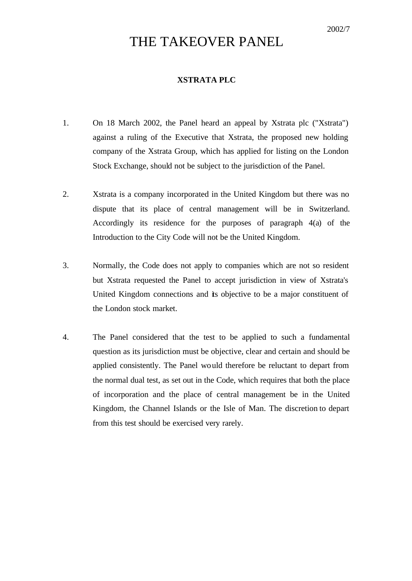## THE TAKEOVER PANEL

## **XSTRATA PLC**

- 1. On 18 March 2002, the Panel heard an appeal by Xstrata plc ("Xstrata") against a ruling of the Executive that Xstrata, the proposed new holding company of the Xstrata Group, which has applied for listing on the London Stock Exchange, should not be subject to the jurisdiction of the Panel.
- 2. Xstrata is a company incorporated in the United Kingdom but there was no dispute that its place of central management will be in Switzerland. Accordingly its residence for the purposes of paragraph 4(a) of the Introduction to the City Code will not be the United Kingdom.
- 3. Normally, the Code does not apply to companies which are not so resident but Xstrata requested the Panel to accept jurisdiction in view of Xstrata's United Kingdom connections and its objective to be a major constituent of the London stock market.
- 4. The Panel considered that the test to be applied to such a fundamental question as its jurisdiction must be objective, clear and certain and should be applied consistently. The Panel would therefore be reluctant to depart from the normal dual test, as set out in the Code, which requires that both the place of incorporation and the place of central management be in the United Kingdom, the Channel Islands or the Isle of Man. The discretion to depart from this test should be exercised very rarely.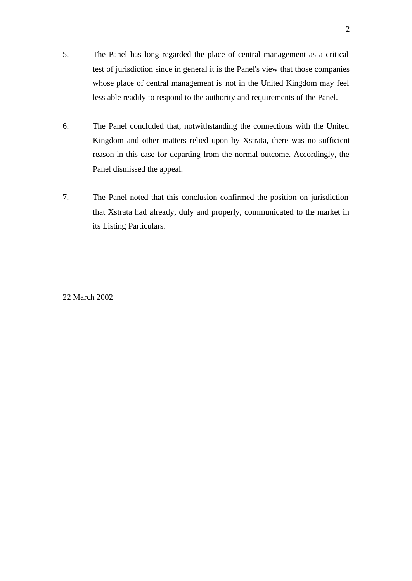- 5. The Panel has long regarded the place of central management as a critical test of jurisdiction since in general it is the Panel's view that those companies whose place of central management is not in the United Kingdom may feel less able readily to respond to the authority and requirements of the Panel.
- 6. The Panel concluded that, notwithstanding the connections with the United Kingdom and other matters relied upon by Xstrata, there was no sufficient reason in this case for departing from the normal outcome. Accordingly, the Panel dismissed the appeal.
- 7. The Panel noted that this conclusion confirmed the position on jurisdiction that Xstrata had already, duly and properly, communicated to the market in its Listing Particulars.

22 March 2002